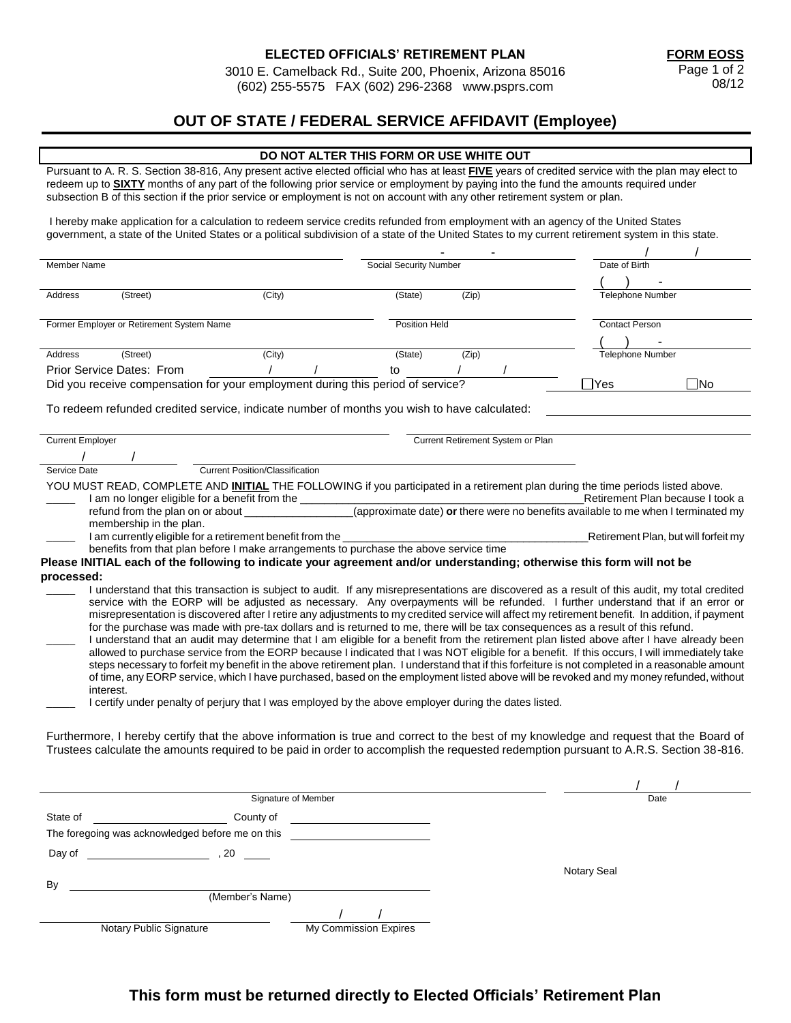3010 E. Camelback Rd., Suite 200, Phoenix, Arizona 85016 (602) 255-5575 FAX (602) 296-2368 www.psprs.com

### **OUT OF STATE / FEDERAL SERVICE AFFIDAVIT (Employee)**

#### **DO NOT ALTER THIS FORM OR USE WHITE OUT**

Pursuant to A. R. S. Section 38-816, Any present active elected official who has at least **FIVE** years of credited service with the plan may elect to redeem up to **SIXTY** months of any part of the following prior service or employment by paying into the fund the amounts required under subsection B of this section if the prior service or employment is not on account with any other retirement system or plan.

I hereby make application for a calculation to redeem service credits refunded from employment with an agency of the United States government, a state of the United States or a political subdivision of a state of the United States to my current retirement system in this state.

| Member Name                                                                                                                                                                                                                                                                     |                                                                                                                                                                                                                                                                                                                                                                                                                                                                                                                                                                                                                                                                                                                                                                                                                                                                                                                                                                                                                                                                                                                                                                                                                                                                               |                                 |  | Social Security Number |       |                                   | Date of Birth           |                                      |  |
|---------------------------------------------------------------------------------------------------------------------------------------------------------------------------------------------------------------------------------------------------------------------------------|-------------------------------------------------------------------------------------------------------------------------------------------------------------------------------------------------------------------------------------------------------------------------------------------------------------------------------------------------------------------------------------------------------------------------------------------------------------------------------------------------------------------------------------------------------------------------------------------------------------------------------------------------------------------------------------------------------------------------------------------------------------------------------------------------------------------------------------------------------------------------------------------------------------------------------------------------------------------------------------------------------------------------------------------------------------------------------------------------------------------------------------------------------------------------------------------------------------------------------------------------------------------------------|---------------------------------|--|------------------------|-------|-----------------------------------|-------------------------|--------------------------------------|--|
|                                                                                                                                                                                                                                                                                 |                                                                                                                                                                                                                                                                                                                                                                                                                                                                                                                                                                                                                                                                                                                                                                                                                                                                                                                                                                                                                                                                                                                                                                                                                                                                               |                                 |  |                        |       |                                   |                         |                                      |  |
| Address                                                                                                                                                                                                                                                                         | (Street)                                                                                                                                                                                                                                                                                                                                                                                                                                                                                                                                                                                                                                                                                                                                                                                                                                                                                                                                                                                                                                                                                                                                                                                                                                                                      | (City)                          |  | (State)                | (Zip) |                                   | <b>Telephone Number</b> |                                      |  |
|                                                                                                                                                                                                                                                                                 |                                                                                                                                                                                                                                                                                                                                                                                                                                                                                                                                                                                                                                                                                                                                                                                                                                                                                                                                                                                                                                                                                                                                                                                                                                                                               |                                 |  |                        |       |                                   |                         |                                      |  |
|                                                                                                                                                                                                                                                                                 | Former Employer or Retirement System Name                                                                                                                                                                                                                                                                                                                                                                                                                                                                                                                                                                                                                                                                                                                                                                                                                                                                                                                                                                                                                                                                                                                                                                                                                                     |                                 |  | Position Held          |       |                                   | <b>Contact Person</b>   |                                      |  |
|                                                                                                                                                                                                                                                                                 |                                                                                                                                                                                                                                                                                                                                                                                                                                                                                                                                                                                                                                                                                                                                                                                                                                                                                                                                                                                                                                                                                                                                                                                                                                                                               |                                 |  |                        |       |                                   |                         |                                      |  |
| Address                                                                                                                                                                                                                                                                         | (Street)                                                                                                                                                                                                                                                                                                                                                                                                                                                                                                                                                                                                                                                                                                                                                                                                                                                                                                                                                                                                                                                                                                                                                                                                                                                                      | (City)                          |  | (State)                | (Zip) |                                   | <b>Telephone Number</b> |                                      |  |
|                                                                                                                                                                                                                                                                                 | Prior Service Dates: From                                                                                                                                                                                                                                                                                                                                                                                                                                                                                                                                                                                                                                                                                                                                                                                                                                                                                                                                                                                                                                                                                                                                                                                                                                                     |                                 |  | to                     |       |                                   |                         |                                      |  |
|                                                                                                                                                                                                                                                                                 | Did you receive compensation for your employment during this period of service?                                                                                                                                                                                                                                                                                                                                                                                                                                                                                                                                                                                                                                                                                                                                                                                                                                                                                                                                                                                                                                                                                                                                                                                               |                                 |  |                        |       |                                   | Yes                     | ⊟No                                  |  |
| To redeem refunded credited service, indicate number of months you wish to have calculated:                                                                                                                                                                                     |                                                                                                                                                                                                                                                                                                                                                                                                                                                                                                                                                                                                                                                                                                                                                                                                                                                                                                                                                                                                                                                                                                                                                                                                                                                                               |                                 |  |                        |       |                                   |                         |                                      |  |
| <b>Current Employer</b>                                                                                                                                                                                                                                                         |                                                                                                                                                                                                                                                                                                                                                                                                                                                                                                                                                                                                                                                                                                                                                                                                                                                                                                                                                                                                                                                                                                                                                                                                                                                                               |                                 |  |                        |       | Current Retirement System or Plan |                         |                                      |  |
|                                                                                                                                                                                                                                                                                 |                                                                                                                                                                                                                                                                                                                                                                                                                                                                                                                                                                                                                                                                                                                                                                                                                                                                                                                                                                                                                                                                                                                                                                                                                                                                               |                                 |  |                        |       |                                   |                         |                                      |  |
| Service Date                                                                                                                                                                                                                                                                    |                                                                                                                                                                                                                                                                                                                                                                                                                                                                                                                                                                                                                                                                                                                                                                                                                                                                                                                                                                                                                                                                                                                                                                                                                                                                               | Current Position/Classification |  |                        |       |                                   |                         |                                      |  |
| processed:                                                                                                                                                                                                                                                                      | YOU MUST READ, COMPLETE AND INITIAL THE FOLLOWING if you participated in a retirement plan during the time periods listed above.<br>JST READ, COMPLETE THE AND <b>1.1.1.2.</b><br>I am no longer eligible for a benefit from the <i>COMPROVIDE COMPROVIDED</i> or there were no benefits available to me when I terminated my<br>I am currently eligible for a retirement benefit from the<br>benefits from that plan before I make arrangements to purchase the above service time<br>Please INITIAL each of the following to indicate your agreement and/or understanding; otherwise this form will not be                                                                                                                                                                                                                                                                                                                                                                                                                                                                                                                                                                                                                                                                  |                                 |  |                        |       |                                   |                         | Retirement Plan, but will forfeit my |  |
| interest.                                                                                                                                                                                                                                                                       | I understand that this transaction is subject to audit. If any misrepresentations are discovered as a result of this audit, my total credited<br>service with the EORP will be adjusted as necessary. Any overpayments will be refunded. I further understand that if an error or<br>misrepresentation is discovered after I retire any adjustments to my credited service will affect my retirement benefit. In addition, if payment<br>for the purchase was made with pre-tax dollars and is returned to me, there will be tax consequences as a result of this refund.<br>I understand that an audit may determine that I am eligible for a benefit from the retirement plan listed above after I have already been<br>allowed to purchase service from the EORP because I indicated that I was NOT eligible for a benefit. If this occurs, I will immediately take<br>steps necessary to forfeit my benefit in the above retirement plan. I understand that if this forfeiture is not completed in a reasonable amount<br>of time, any EORP service, which I have purchased, based on the employment listed above will be revoked and my money refunded, without<br>I certify under penalty of perjury that I was employed by the above employer during the dates listed. |                                 |  |                        |       |                                   |                         |                                      |  |
| Furthermore, I hereby certify that the above information is true and correct to the best of my knowledge and request that the Board of<br>Trustees calculate the amounts required to be paid in order to accomplish the requested redemption pursuant to A.R.S. Section 38-816. |                                                                                                                                                                                                                                                                                                                                                                                                                                                                                                                                                                                                                                                                                                                                                                                                                                                                                                                                                                                                                                                                                                                                                                                                                                                                               |                                 |  |                        |       |                                   |                         |                                      |  |
|                                                                                                                                                                                                                                                                                 |                                                                                                                                                                                                                                                                                                                                                                                                                                                                                                                                                                                                                                                                                                                                                                                                                                                                                                                                                                                                                                                                                                                                                                                                                                                                               | Signature of Member             |  |                        |       |                                   |                         | Date                                 |  |
| State of                                                                                                                                                                                                                                                                        |                                                                                                                                                                                                                                                                                                                                                                                                                                                                                                                                                                                                                                                                                                                                                                                                                                                                                                                                                                                                                                                                                                                                                                                                                                                                               | County of                       |  |                        |       |                                   |                         |                                      |  |
|                                                                                                                                                                                                                                                                                 | The foregoing was acknowledged before me on this                                                                                                                                                                                                                                                                                                                                                                                                                                                                                                                                                                                                                                                                                                                                                                                                                                                                                                                                                                                                                                                                                                                                                                                                                              |                                 |  |                        |       |                                   |                         |                                      |  |

Notary Seal Day of  $\qquad \qquad$  , 20 By (Member's Name) / / Notary Public Signature My Commission Expires

## **This form must be returned directly to Elected Officials' Retirement Plan**